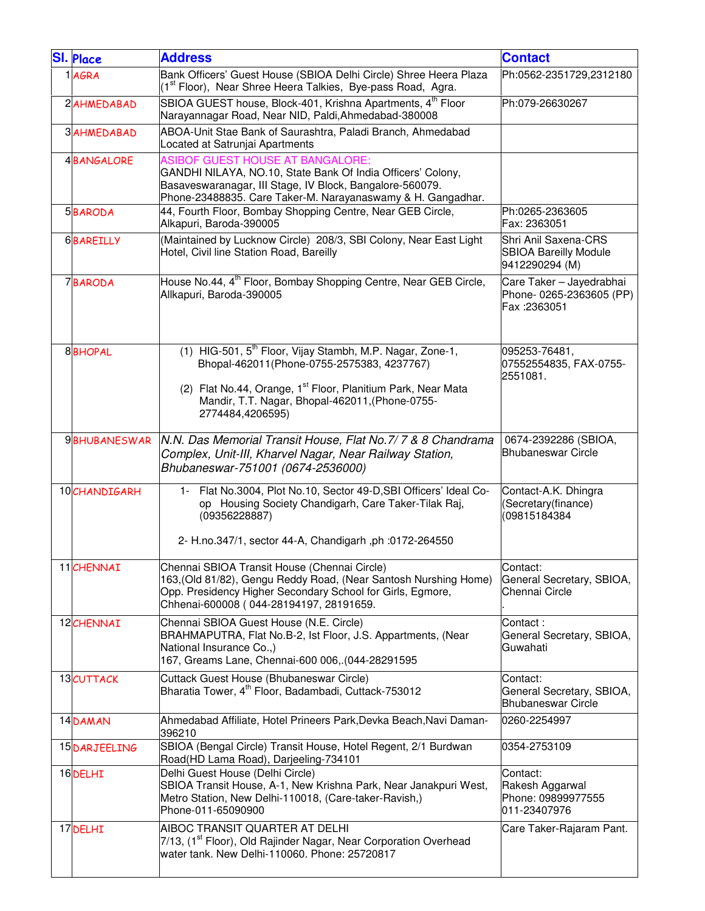| <b>SI. Place</b>    | <b>Address</b>                                                                                                                                                                                                                                                         | <b>Contact</b>                                                         |
|---------------------|------------------------------------------------------------------------------------------------------------------------------------------------------------------------------------------------------------------------------------------------------------------------|------------------------------------------------------------------------|
| 1 AGRA              | Bank Officers' Guest House (SBIOA Delhi Circle) Shree Heera Plaza<br>(1 <sup>st</sup> Floor), Near Shree Heera Talkies, Bye-pass Road, Agra.                                                                                                                           | Ph:0562-2351729,2312180                                                |
| 2AHMEDABAD          | SBIOA GUEST house, Block-401, Krishna Apartments, 4 <sup>th</sup> Floor<br>Narayannagar Road, Near NID, Paldi, Ahmedabad-380008                                                                                                                                        | Ph:079-26630267                                                        |
| <b>3 AHMEDABAD</b>  | ABOA-Unit Stae Bank of Saurashtra, Paladi Branch, Ahmedabad<br>Located at Satrunjai Apartments                                                                                                                                                                         |                                                                        |
| <b>4BANGALORE</b>   | <b>ASIBOF GUEST HOUSE AT BANGALORE:</b><br>GANDHI NILAYA, NO.10, State Bank Of India Officers' Colony,<br>Basaveswaranagar, III Stage, IV Block, Bangalore-560079.<br>Phone-23488835. Care Taker-M. Narayanaswamy & H. Gangadhar.                                      |                                                                        |
| 5BARODA             | 44, Fourth Floor, Bombay Shopping Centre, Near GEB Circle,<br>Alkapuri, Baroda-390005                                                                                                                                                                                  | Ph:0265-2363605<br>Fax: 2363051                                        |
| <b>6BAREILLY</b>    | (Maintained by Lucknow Circle) 208/3, SBI Colony, Near East Light<br>Hotel, Civil line Station Road, Bareilly                                                                                                                                                          | Shri Anil Saxena-CRS<br><b>SBIOA Bareilly Module</b><br>9412290294 (M) |
| <b>7BARODA</b>      | House No.44, 4 <sup>th</sup> Floor, Bombay Shopping Centre, Near GEB Circle,<br>Allkapuri, Baroda-390005                                                                                                                                                               | Care Taker - Jayedrabhai<br>Phone- 0265-2363605 (PP)<br>Fax: 2363051   |
| <b>8BHOPAL</b>      | (1) HIG-501, 5 <sup>th</sup> Floor, Vijay Stambh, M.P. Nagar, Zone-1,<br>Bhopal-462011(Phone-0755-2575383, 4237767)<br>(2) Flat No.44, Orange, 1 <sup>st</sup> Floor, Planitium Park, Near Mata<br>Mandir, T.T. Nagar, Bhopal-462011, (Phone-0755-<br>2774484,4206595) | 095253-76481,<br>07552554835, FAX-0755-<br>2551081.                    |
| <b>9BHUBANESWAR</b> | N.N. Das Memorial Transit House, Flat No.7/7 & 8 Chandrama<br>Complex, Unit-III, Kharvel Nagar, Near Railway Station,<br>Bhubaneswar-751001 (0674-2536000)                                                                                                             | 0674-2392286 (SBIOA,<br><b>Bhubaneswar Circle</b>                      |
| 10CHANDIGARH        | 1- Flat No.3004, Plot No.10, Sector 49-D, SBI Officers' Ideal Co-<br>op Housing Society Chandigarh, Care Taker-Tilak Raj,<br>(09356228887)<br>2- H.no.347/1, sector 44-A, Chandigarh, ph:0172-264550                                                                   | Contact-A.K. Dhingra<br>(Secretary(finance)<br>(09815184384            |
| 11 CHENNAI          | Chennai SBIOA Transit House (Chennai Circle)<br>163, (Old 81/82), Gengu Reddy Road, (Near Santosh Nurshing Home)<br>Opp. Presidency Higher Secondary School for Girls, Egmore,<br>Chhenai-600008 (044-28194197, 28191659.                                              | Contact:<br>General Secretary, SBIOA,<br>Chennai Circle                |
| 12 CHENNAI          | Chennai SBIOA Guest House (N.E. Circle)<br>BRAHMAPUTRA, Flat No.B-2, Ist Floor, J.S. Appartments, (Near<br>National Insurance Co.,)<br>167, Greams Lane, Chennai-600 006, (044-28291595                                                                                | Contact:<br>General Secretary, SBIOA,<br>Guwahati                      |
| 13CUTTACK           | Cuttack Guest House (Bhubaneswar Circle)<br>Bharatia Tower, 4 <sup>th</sup> Floor, Badambadi, Cuttack-753012                                                                                                                                                           | Contact:<br>General Secretary, SBIOA,<br><b>Bhubaneswar Circle</b>     |
| 14DAMAN             | Ahmedabad Affiliate, Hotel Prineers Park, Devka Beach, Navi Daman-<br>396210                                                                                                                                                                                           | 0260-2254997                                                           |
| 15 DARJEELING       | SBIOA (Bengal Circle) Transit House, Hotel Regent, 2/1 Burdwan<br>Road(HD Lama Road), Darjeeling-734101                                                                                                                                                                | 0354-2753109                                                           |
| 16DELHI             | Delhi Guest House (Delhi Circle)<br>SBIOA Transit House, A-1, New Krishna Park, Near Janakpuri West,<br>Metro Station, New Delhi-110018, (Care-taker-Ravish,)<br>Phone-011-65090900                                                                                    | Contact:<br>Rakesh Aggarwal<br>Phone: 09899977555<br>011-23407976      |
| 17 DELHI            | AIBOC TRANSIT QUARTER AT DELHI<br>7/13, (1 <sup>st</sup> Floor), Old Rajinder Nagar, Near Corporation Overhead<br>water tank. New Delhi-110060. Phone: 25720817                                                                                                        | Care Taker-Rajaram Pant.                                               |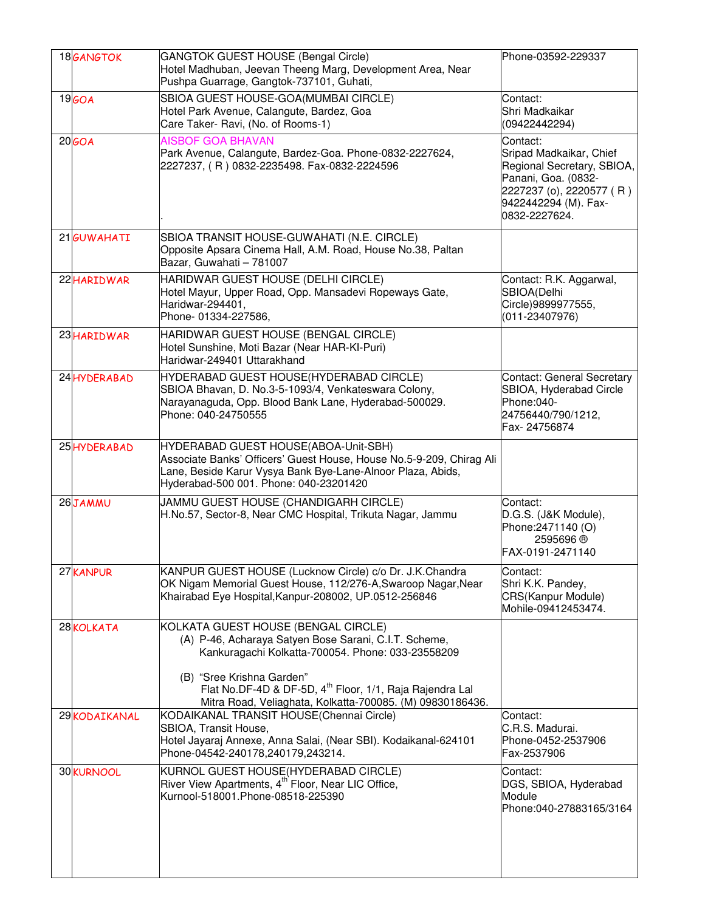| 18 <sub>GANGTOK</sub> | GANGTOK GUEST HOUSE (Bengal Circle)<br>Hotel Madhuban, Jeevan Theeng Marg, Development Area, Near<br>Pushpa Guarrage, Gangtok-737101, Guhati,                                                                                                                                                                       | Phone-03592-229337                                                                                        |
|-----------------------|---------------------------------------------------------------------------------------------------------------------------------------------------------------------------------------------------------------------------------------------------------------------------------------------------------------------|-----------------------------------------------------------------------------------------------------------|
| 19 <sub>60</sub> A    | SBIOA GUEST HOUSE-GOA(MUMBAI CIRCLE)<br>Hotel Park Avenue, Calangute, Bardez, Goa<br>Care Taker- Ravi, (No. of Rooms-1)                                                                                                                                                                                             | Contact:<br>Shri Madkaikar<br>(09422442294)                                                               |
| 20 <sub>GOA</sub>     | Contact:<br>Sripad Madkaikar, Chief<br>Regional Secretary, SBIOA,<br>Panani, Goa. (0832-<br>2227237 (o), 2220577 (R)<br>9422442294 (M). Fax-<br>0832-2227624.                                                                                                                                                       |                                                                                                           |
| 21 GUWAHATI           | SBIOA TRANSIT HOUSE-GUWAHATI (N.E. CIRCLE)<br>Opposite Apsara Cinema Hall, A.M. Road, House No.38, Paltan<br>Bazar, Guwahati - 781007                                                                                                                                                                               |                                                                                                           |
| 22 HARIDWAR           | HARIDWAR GUEST HOUSE (DELHI CIRCLE)<br>Hotel Mayur, Upper Road, Opp. Mansadevi Ropeways Gate,<br>Haridwar-294401,<br>Phone- 01334-227586,                                                                                                                                                                           | Contact: R.K. Aggarwal,<br>SBIOA(Delhi<br>Circle)9899977555,<br>$(011 - 23407976)$                        |
| 23 HARIDWAR           | HARIDWAR GUEST HOUSE (BENGAL CIRCLE)<br>Hotel Sunshine, Moti Bazar (Near HAR-KI-Puri)<br>Haridwar-249401 Uttarakhand                                                                                                                                                                                                |                                                                                                           |
| 24 HYDERABAD          | HYDERABAD GUEST HOUSE(HYDERABAD CIRCLE)<br>SBIOA Bhavan, D. No.3-5-1093/4, Venkateswara Colony,<br>Narayanaguda, Opp. Blood Bank Lane, Hyderabad-500029.<br>Phone: 040-24750555                                                                                                                                     | Contact: General Secretary<br>SBIOA, Hyderabad Circle<br>Phone:040-<br>24756440/790/1212,<br>Fax-24756874 |
| 25HYDERABAD           | HYDERABAD GUEST HOUSE(ABOA-Unit-SBH)<br>Associate Banks' Officers' Guest House, House No.5-9-209, Chirag Ali<br>Lane, Beside Karur Vysya Bank Bye-Lane-Alnoor Plaza, Abids,<br>Hyderabad-500 001. Phone: 040-23201420                                                                                               |                                                                                                           |
| 26JAMMU               | JAMMU GUEST HOUSE (CHANDIGARH CIRCLE)<br>H.No.57, Sector-8, Near CMC Hospital, Trikuta Nagar, Jammu                                                                                                                                                                                                                 | Contact:<br>D.G.S. (J&K Module),<br>Phone: 2471140 (O)<br>2595696 ®<br>FAX-0191-2471140                   |
| 27 KANPUR             | KANPUR GUEST HOUSE (Lucknow Circle) c/o Dr. J.K.Chandra<br>OK Nigam Memorial Guest House, 112/276-A, Swaroop Nagar, Near<br>Khairabad Eye Hospital, Kanpur-208002, UP.0512-256846                                                                                                                                   | Contact:<br>Shri K.K. Pandey,<br>CRS(Kanpur Module)<br>Mohile-09412453474.                                |
| 28 KOLKATA            | KOLKATA GUEST HOUSE (BENGAL CIRCLE)<br>(A) P-46, Acharaya Satyen Bose Sarani, C.I.T. Scheme,<br>Kankuragachi Kolkatta-700054. Phone: 033-23558209<br>(B) "Sree Krishna Garden"<br>Flat No.DF-4D & DF-5D, 4 <sup>th</sup> Floor, 1/1, Raja Rajendra Lal<br>Mitra Road, Veliaghata, Kolkatta-700085. (M) 09830186436. |                                                                                                           |
| 29KODAIKANAL          | KODAIKANAL TRANSIT HOUSE(Chennai Circle)<br>SBIOA, Transit House,<br>Hotel Jayaraj Annexe, Anna Salai, (Near SBI). Kodaikanal-624101<br>Phone-04542-240178,240179,243214.                                                                                                                                           | Contact:<br>C.R.S. Madurai.<br>Phone-0452-2537906<br>Fax-2537906                                          |
| 30 KURNOOL            | KURNOL GUEST HOUSE(HYDERABAD CIRCLE)<br>River View Apartments, 4 <sup>th</sup> Floor, Near LIC Office,<br>Kurnool-518001.Phone-08518-225390                                                                                                                                                                         | Contact:<br>DGS, SBIOA, Hyderabad<br>Module<br>Phone:040-27883165/3164                                    |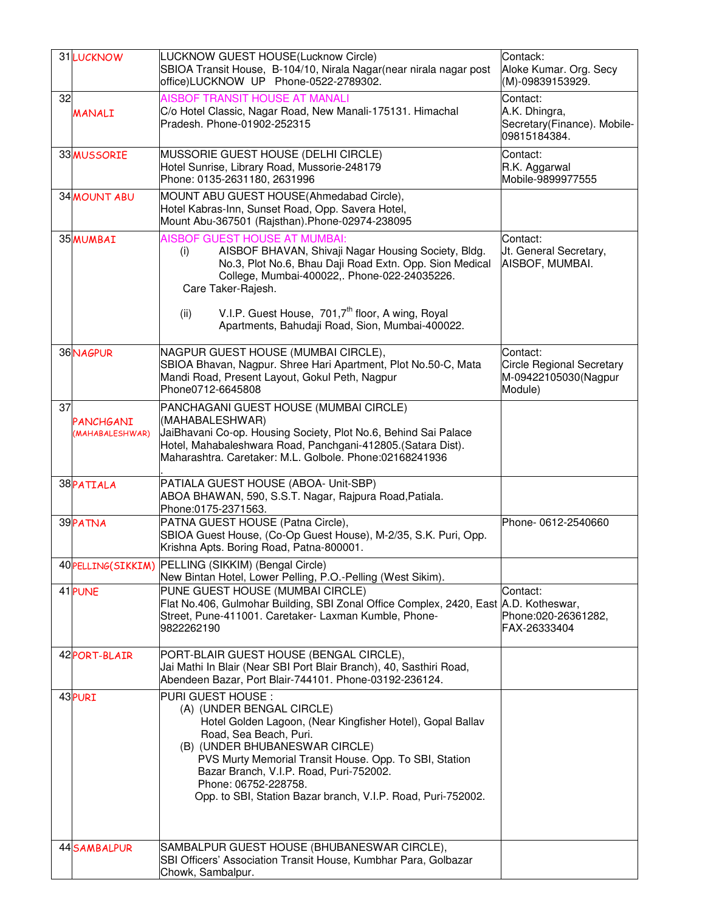|    | 31 LUCKNOW                                                                                                  | LUCKNOW GUEST HOUSE(Lucknow Circle)                                                                                                           | Contack:                                    |
|----|-------------------------------------------------------------------------------------------------------------|-----------------------------------------------------------------------------------------------------------------------------------------------|---------------------------------------------|
|    |                                                                                                             | SBIOA Transit House, B-104/10, Nirala Nagar(near nirala nagar post<br>office)LUCKNOW UP Phone-0522-2789302.                                   | Aloke Kumar. Org. Secy<br>(M)-09839153929.  |
| 32 |                                                                                                             | <b>AISBOF TRANSIT HOUSE AT MANALI</b>                                                                                                         | Contact:                                    |
|    | <b>MANALI</b>                                                                                               | C/o Hotel Classic, Nagar Road, New Manali-175131. Himachal<br>Pradesh. Phone-01902-252315                                                     | A.K. Dhingra,                               |
|    |                                                                                                             |                                                                                                                                               | Secretary(Finance). Mobile-<br>09815184384. |
|    | 33 MUSSORIE                                                                                                 | MUSSORIE GUEST HOUSE (DELHI CIRCLE)                                                                                                           | Contact:                                    |
|    |                                                                                                             | Hotel Sunrise, Library Road, Mussorie-248179                                                                                                  | R.K. Aggarwal                               |
|    |                                                                                                             | Phone: 0135-2631180, 2631996                                                                                                                  | Mobile-9899977555                           |
|    | 34 MOUNT ABU                                                                                                | MOUNT ABU GUEST HOUSE(Ahmedabad Circle),                                                                                                      |                                             |
|    |                                                                                                             | Hotel Kabras-Inn, Sunset Road, Opp. Savera Hotel,                                                                                             |                                             |
|    |                                                                                                             | Mount Abu-367501 (Rajsthan).Phone-02974-238095                                                                                                |                                             |
|    | 35 MUMBAI                                                                                                   | <b>AISBOF GUEST HOUSE AT MUMBAI:</b><br>AISBOF BHAVAN, Shivaji Nagar Housing Society, Bldg.<br>(i)                                            | Contact:<br>Jt. General Secretary,          |
|    |                                                                                                             | No.3, Plot No.6, Bhau Daji Road Extn. Opp. Sion Medical                                                                                       | AISBOF, MUMBAI.                             |
|    |                                                                                                             | College, Mumbai-400022,. Phone-022-24035226.                                                                                                  |                                             |
|    |                                                                                                             | Care Taker-Rajesh.                                                                                                                            |                                             |
|    |                                                                                                             | V.I.P. Guest House, 701,7 <sup>th</sup> floor, A wing, Royal<br>(ii)                                                                          |                                             |
|    |                                                                                                             | Apartments, Bahudaji Road, Sion, Mumbai-400022.                                                                                               |                                             |
|    | 36NAGPUR                                                                                                    | NAGPUR GUEST HOUSE (MUMBAI CIRCLE),                                                                                                           | Contact:                                    |
|    |                                                                                                             | SBIOA Bhavan, Nagpur. Shree Hari Apartment, Plot No.50-C, Mata                                                                                | <b>Circle Regional Secretary</b>            |
|    |                                                                                                             | Mandi Road, Present Layout, Gokul Peth, Nagpur                                                                                                | M-09422105030(Nagpur                        |
|    |                                                                                                             | Phone0712-6645808                                                                                                                             | Module)                                     |
| 37 |                                                                                                             | PANCHAGANI GUEST HOUSE (MUMBAI CIRCLE)                                                                                                        |                                             |
|    | <b>PANCHGANI</b><br>(MAHABALESHWAR)                                                                         | (MAHABALESHWAR)<br>JaiBhavani Co-op. Housing Society, Plot No.6, Behind Sai Palace                                                            |                                             |
|    |                                                                                                             | Hotel, Mahabaleshwara Road, Panchgani-412805.(Satara Dist).                                                                                   |                                             |
|    |                                                                                                             | Maharashtra. Caretaker: M.L. Golbole. Phone:02168241936                                                                                       |                                             |
|    | 38 PATIALA                                                                                                  | PATIALA GUEST HOUSE (ABOA- Unit-SBP)                                                                                                          |                                             |
|    |                                                                                                             | ABOA BHAWAN, 590, S.S.T. Nagar, Rajpura Road, Patiala.                                                                                        |                                             |
|    |                                                                                                             | Phone:0175-2371563.                                                                                                                           |                                             |
|    | 39PATNA                                                                                                     | PATNA GUEST HOUSE (Patna Circle),                                                                                                             | Phone- 0612-2540660                         |
|    | SBIOA Guest House, (Co-Op Guest House), M-2/35, S.K. Puri, Opp.<br>Krishna Apts. Boring Road, Patna-800001. |                                                                                                                                               |                                             |
|    |                                                                                                             | 40 PELLING(SIKKIM) PELLING (SIKKIM) (Bengal Circle)                                                                                           |                                             |
|    |                                                                                                             | New Bintan Hotel, Lower Pelling, P.O.-Pelling (West Sikim).                                                                                   |                                             |
|    | 41 PUNE                                                                                                     | PUNE GUEST HOUSE (MUMBAI CIRCLE)                                                                                                              | Contact:                                    |
|    |                                                                                                             | Flat No.406, Gulmohar Building, SBI Zonal Office Complex, 2420, East A.D. Kotheswar,<br>Street, Pune-411001. Caretaker- Laxman Kumble, Phone- | Phone:020-26361282,                         |
|    |                                                                                                             | 9822262190                                                                                                                                    | FAX-26333404                                |
|    |                                                                                                             |                                                                                                                                               |                                             |
|    | 42 PORT-BLAIR                                                                                               | PORT-BLAIR GUEST HOUSE (BENGAL CIRCLE),                                                                                                       |                                             |
|    |                                                                                                             | Jai Mathi In Blair (Near SBI Port Blair Branch), 40, Sasthiri Road,<br>Abendeen Bazar, Port Blair-744101. Phone-03192-236124.                 |                                             |
|    | 43 PURI                                                                                                     | PURI GUEST HOUSE:                                                                                                                             |                                             |
|    |                                                                                                             | (A) (UNDER BENGAL CIRCLE)                                                                                                                     |                                             |
|    |                                                                                                             | Hotel Golden Lagoon, (Near Kingfisher Hotel), Gopal Ballav                                                                                    |                                             |
|    |                                                                                                             | Road, Sea Beach, Puri.<br>(B) (UNDER BHUBANESWAR CIRCLE)                                                                                      |                                             |
|    |                                                                                                             | PVS Murty Memorial Transit House. Opp. To SBI, Station                                                                                        |                                             |
|    |                                                                                                             | Bazar Branch, V.I.P. Road, Puri-752002.                                                                                                       |                                             |
|    |                                                                                                             | Phone: 06752-228758.                                                                                                                          |                                             |
|    |                                                                                                             | Opp. to SBI, Station Bazar branch, V.I.P. Road, Puri-752002.                                                                                  |                                             |
|    |                                                                                                             |                                                                                                                                               |                                             |
|    | 44 SAMBALPUR                                                                                                | SAMBALPUR GUEST HOUSE (BHUBANESWAR CIRCLE),                                                                                                   |                                             |
|    |                                                                                                             | SBI Officers' Association Transit House, Kumbhar Para, Golbazar                                                                               |                                             |
|    |                                                                                                             | Chowk, Sambalpur.                                                                                                                             |                                             |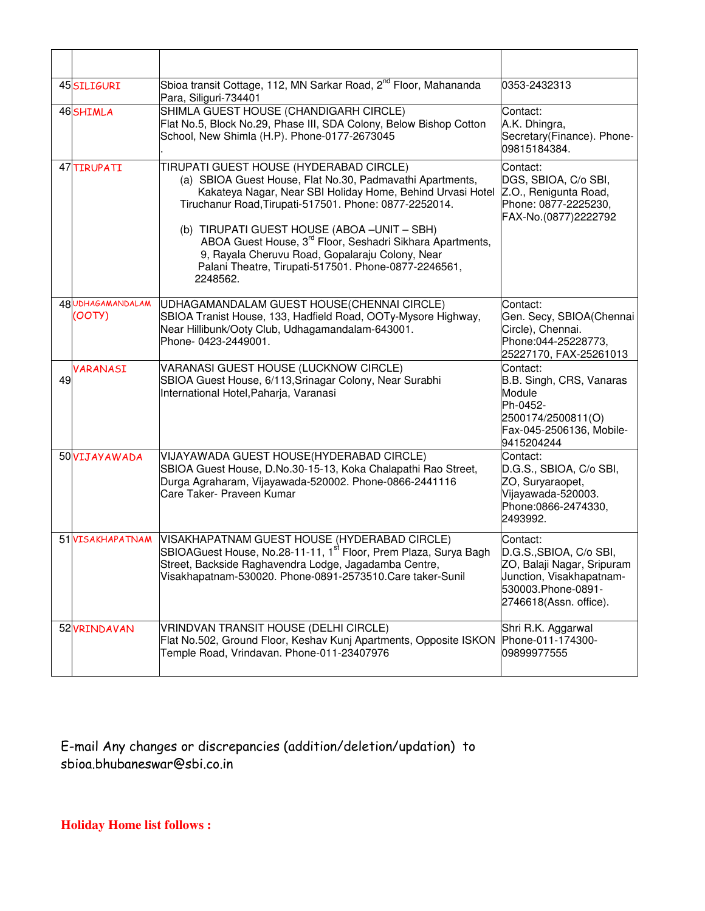|    | 45 SILIGURI                 | Sbioa transit Cottage, 112, MN Sarkar Road, 2 <sup>nd</sup> Floor, Mahananda<br>Para, Siliguri-734401                                                                                                                                                                                                                                                                                                                                                                       | 0353-2432313                                                                                                                                  |
|----|-----------------------------|-----------------------------------------------------------------------------------------------------------------------------------------------------------------------------------------------------------------------------------------------------------------------------------------------------------------------------------------------------------------------------------------------------------------------------------------------------------------------------|-----------------------------------------------------------------------------------------------------------------------------------------------|
|    | 46SHIMLA                    | SHIMLA GUEST HOUSE (CHANDIGARH CIRCLE)<br>Flat No.5, Block No.29, Phase III, SDA Colony, Below Bishop Cotton<br>School, New Shimla (H.P). Phone-0177-2673045                                                                                                                                                                                                                                                                                                                | Contact:<br>A.K. Dhingra,<br>Secretary(Finance). Phone-<br>09815184384.                                                                       |
|    | 47 TIRUPATI                 | TIRUPATI GUEST HOUSE (HYDERABAD CIRCLE)<br>(a) SBIOA Guest House, Flat No.30, Padmavathi Apartments,<br>Kakateya Nagar, Near SBI Holiday Home, Behind Urvasi Hotel<br>Tiruchanur Road, Tirupati-517501. Phone: 0877-2252014.<br>(b) TIRUPATI GUEST HOUSE (ABOA -UNIT - SBH)<br>ABOA Guest House, 3 <sup>rd</sup> Floor, Seshadri Sikhara Apartments,<br>9, Rayala Cheruvu Road, Gopalaraju Colony, Near<br>Palani Theatre, Tirupati-517501. Phone-0877-2246561,<br>2248562. | Contact:<br>DGS, SBIOA, C/o SBI,<br>Z.O., Renigunta Road,<br>Phone: 0877-2225230,<br>FAX-No.(0877)2222792                                     |
|    | 48 UDHAGAMANDALAM<br>(00TY) | UDHAGAMANDALAM GUEST HOUSE(CHENNAI CIRCLE)<br>SBIOA Tranist House, 133, Hadfield Road, OOTy-Mysore Highway,<br>Near Hillibunk/Ooty Club, Udhagamandalam-643001.<br>Phone- 0423-2449001.                                                                                                                                                                                                                                                                                     | Contact:<br>Gen. Secy, SBIOA(Chennai<br>Circle), Chennai.<br>Phone:044-25228773,<br>25227170, FAX-25261013                                    |
| 49 | VARANASI                    | VARANASI GUEST HOUSE (LUCKNOW CIRCLE)<br>SBIOA Guest House, 6/113, Srinagar Colony, Near Surabhi<br>International Hotel, Paharja, Varanasi                                                                                                                                                                                                                                                                                                                                  | Contact:<br>B.B. Singh, CRS, Vanaras<br>Module<br>Ph-0452-<br>2500174/2500811(O)<br>Fax-045-2506136, Mobile-<br>9415204244                    |
|    | 50 VIJAYAWADA               | VIJAYAWADA GUEST HOUSE(HYDERABAD CIRCLE)<br>SBIOA Guest House, D.No.30-15-13, Koka Chalapathi Rao Street,<br>Durga Agraharam, Vijayawada-520002. Phone-0866-2441116<br>Care Taker- Praveen Kumar                                                                                                                                                                                                                                                                            | Contact:<br>D.G.S., SBIOA, C/o SBI,<br>ZO, Suryaraopet,<br>Vijayawada-520003.<br>Phone:0866-2474330,<br>2493992.                              |
|    | 51 VISAKHAPATNAM            | VISAKHAPATNAM GUEST HOUSE (HYDERABAD CIRCLE)<br>SBIOAGuest House, No.28-11-11, 1 <sup>st</sup> Floor, Prem Plaza, Surya Bagh<br>Street, Backside Raghavendra Lodge, Jagadamba Centre,<br>Visakhapatnam-530020. Phone-0891-2573510. Care taker-Sunil                                                                                                                                                                                                                         | Contact:<br>D.G.S., SBIOA, C/o SBI,<br>ZO, Balaji Nagar, Sripuram<br>Junction, Visakhapatnam-<br>530003.Phone-0891-<br>2746618(Assn. office). |
|    | 52 VRINDAVAN                | VRINDVAN TRANSIT HOUSE (DELHI CIRCLE)<br>Flat No.502, Ground Floor, Keshav Kunj Apartments, Opposite ISKON<br>Temple Road, Vrindavan. Phone-011-23407976                                                                                                                                                                                                                                                                                                                    | Shri R.K. Aggarwal<br>Phone-011-174300-<br>09899977555                                                                                        |

E-mail Any changes or discrepancies (addition/deletion/updation) to sbioa.bhubaneswar@sbi.co.in

**Holiday Home list follows :**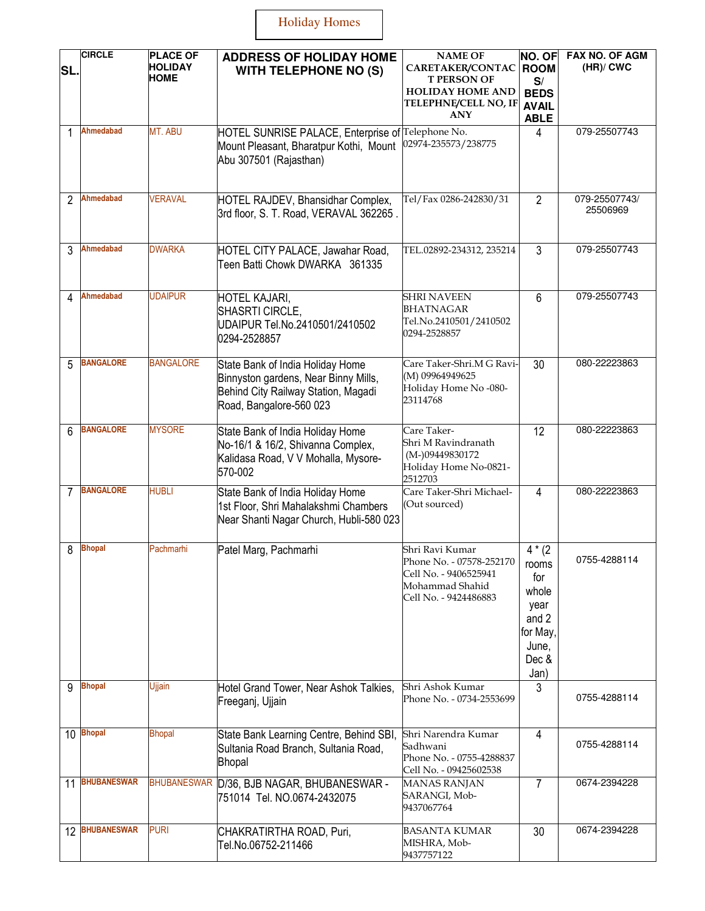## Holiday Homes

| SL.            | <b>CIRCLE</b>      | <b>PLACE OF</b><br><b>HOLIDAY</b><br>НОМЕ | <b>ADDRESS OF HOLIDAY HOME</b><br><b>WITH TELEPHONE NO (S)</b>                                                                             | <b>NAME OF</b><br>CARETAKER/CONTAC<br><b>T PERSON OF</b><br><b>HOLIDAY HOME AND</b><br>TELEPHNE/CELL NO, IF<br><b>ANY</b> | NO. OF<br><b>ROOM</b><br>S/<br><b>BEDS</b><br><b>AVAIL</b><br><b>ABLE</b>              | FAX NO. OF AGM<br>$(HR)/$ CWC |
|----------------|--------------------|-------------------------------------------|--------------------------------------------------------------------------------------------------------------------------------------------|---------------------------------------------------------------------------------------------------------------------------|----------------------------------------------------------------------------------------|-------------------------------|
|                | Ahmedabad          | MT. ABU                                   | HOTEL SUNRISE PALACE, Enterprise of Telephone No.<br>Mount Pleasant, Bharatpur Kothi, Mount<br>Abu 307501 (Rajasthan)                      | 02974-235573/238775                                                                                                       | 4                                                                                      | 079-25507743                  |
| 2              | <b>Ahmedabad</b>   | <b>VERAVAL</b>                            | HOTEL RAJDEV, Bhansidhar Complex,<br>3rd floor, S. T. Road, VERAVAL 362265.                                                                | Tel/Fax 0286-242830/31                                                                                                    | $\overline{2}$                                                                         | 079-25507743/<br>25506969     |
| 3              | Ahmedabad          | <b>DWARKA</b>                             | HOTEL CITY PALACE, Jawahar Road,<br>Teen Batti Chowk DWARKA 361335                                                                         | TEL.02892-234312, 235214                                                                                                  | 3                                                                                      | 079-25507743                  |
| 4              | <b>Ahmedabad</b>   | <b>UDAIPUR</b>                            | <b>HOTEL KAJARI,</b><br>SHASRTI CIRCLE,<br>UDAIPUR Tel.No.2410501/2410502<br>0294-2528857                                                  | <b>SHRI NAVEEN</b><br><b>BHATNAGAR</b><br>Tel.No.2410501/2410502<br>0294-2528857                                          | 6                                                                                      | 079-25507743                  |
| 5              | <b>BANGALORE</b>   | <b>BANGALORE</b>                          | State Bank of India Holiday Home<br>Binnyston gardens, Near Binny Mills,<br>Behind City Railway Station, Magadi<br>Road, Bangalore-560 023 | Care Taker-Shri.M G Ravi-<br>(M) 09964949625<br>Holiday Home No -080-<br>23114768                                         | 30                                                                                     | 080-22223863                  |
| 6              | <b>BANGALORE</b>   | <b>MYSORE</b>                             | State Bank of India Holiday Home<br>No-16/1 & 16/2, Shivanna Complex,<br>Kalidasa Road, V V Mohalla, Mysore-<br>570-002                    | Care Taker-<br>Shri M Ravindranath<br>(M-)09449830172<br>Holiday Home No-0821-<br>2512703                                 | 12                                                                                     | 080-22223863                  |
| $\overline{7}$ | <b>BANGALORE</b>   | <b>HUBLI</b>                              | State Bank of India Holiday Home<br>1st Floor, Shri Mahalakshmi Chambers<br>Near Shanti Nagar Church, Hubli-580 023                        | Care Taker-Shri Michael-<br>(Out sourced)                                                                                 | $\overline{4}$                                                                         | 080-22223863                  |
| 8              | <b>Bhopal</b>      | Pachmarhi                                 | Patel Marg, Pachmarhi                                                                                                                      | Shri Ravi Kumar<br>Phone No. - 07578-252170<br>Cell No. - 9406525941<br>Mohammad Shahid<br>Cell No. - 9424486883          | $4*(2)$<br>rooms<br>for<br>whole<br>year<br>and 2<br>for May<br>June,<br>Dec &<br>Jan) | 0755-4288114                  |
| q              | <b>Bhopal</b>      | Ujjain                                    | Hotel Grand Tower, Near Ashok Talkies,<br>Freeganj, Ujjain                                                                                 | Shri Ashok Kumar<br>Phone No. - 0734-2553699                                                                              | 3                                                                                      | 0755-4288114                  |
| 10             | <b>Bhopal</b>      | <b>Bhopal</b>                             | State Bank Learning Centre, Behind SBI,<br>Sultania Road Branch, Sultania Road,<br><b>Bhopal</b>                                           | Shri Narendra Kumar<br>Sadhwani<br>Phone No. - 0755-4288837<br>Cell No. - 09425602538                                     | 4                                                                                      | 0755-4288114                  |
| 11             | <b>BHUBANESWAR</b> | <b>BHUBANESWAR</b>                        | D/36, BJB NAGAR, BHUBANESWAR -<br>751014 Tel. NO.0674-2432075                                                                              | <b>MANAS RANJAN</b><br>SARANGI, Mob-<br>9437067764                                                                        | 7                                                                                      | 0674-2394228                  |
| 12             | <b>BHUBANESWAR</b> | <b>PURI</b>                               | CHAKRATIRTHA ROAD, Puri,<br>Tel.No.06752-211466                                                                                            | <b>BASANTA KUMAR</b><br>MISHRA, Mob-<br>9437757122                                                                        | 30                                                                                     | 0674-2394228                  |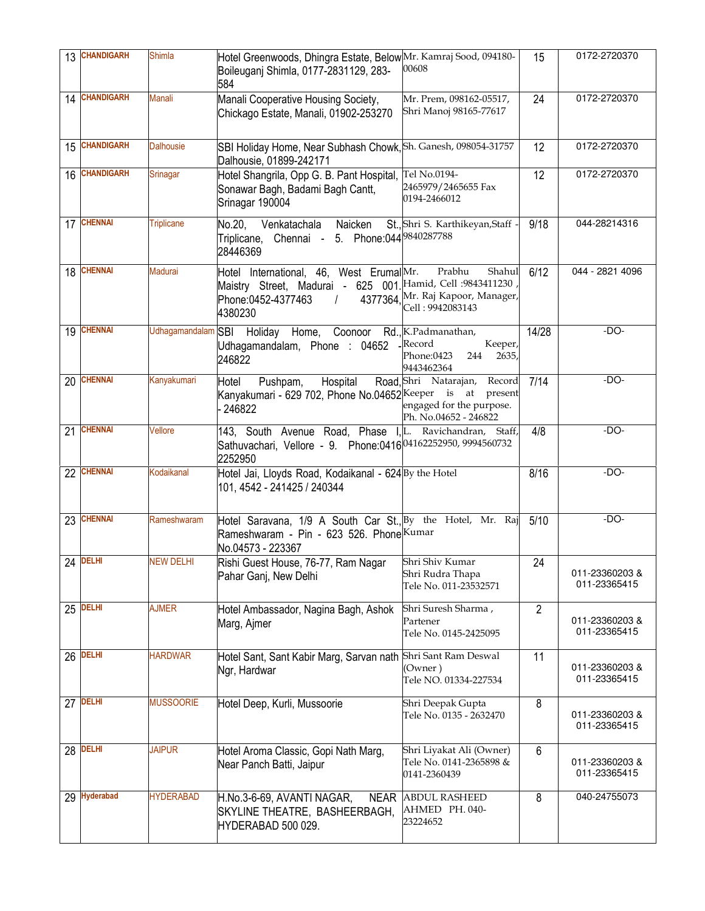| 13 | <b>CHANDIGARH</b> | <b>Shimla</b>      | Hotel Greenwoods, Dhingra Estate, Below Mr. Kamraj Sood, 094180-<br>Boileuganj Shimla, 0177-2831129, 283-<br>584                                    | 00608                                                                                | 15             | 0172-2720370                   |
|----|-------------------|--------------------|-----------------------------------------------------------------------------------------------------------------------------------------------------|--------------------------------------------------------------------------------------|----------------|--------------------------------|
|    | 14 CHANDIGARH     | <b>Manali</b>      | Manali Cooperative Housing Society,<br>Chickago Estate, Manali, 01902-253270                                                                        | Mr. Prem, 098162-05517,<br>Shri Manoj 98165-77617                                    | 24             | 0172-2720370                   |
| 15 | <b>CHANDIGARH</b> | <b>Dalhousie</b>   | SBI Holiday Home, Near Subhash Chowk, Sh. Ganesh, 098054-31757<br>Dalhousie, 01899-242171                                                           |                                                                                      | 12             | 0172-2720370                   |
| 16 | <b>CHANDIGARH</b> | Srinagar           | Hotel Shangrila, Opp G. B. Pant Hospital,<br>Sonawar Bagh, Badami Bagh Cantt,<br>Srinagar 190004                                                    | Tel No.0194-<br>2465979/2465655 Fax<br>0194-2466012                                  | 12             | 0172-2720370                   |
| 17 | <b>CHENNAI</b>    | <b>Triplicane</b>  | No.20,<br>Venkatachala Naicken<br>Triplicane, Chennai - 5. Phone:044 <sup>9840287788</sup><br>28446369                                              | St., Shri S. Karthikeyan, Staff -                                                    | 9/18           | 044-28214316                   |
| 18 | <b>CHENNAI</b>    | <b>Madurai</b>     | Hotel International, 46, West ErumalMr.<br>Maistry Street, Madurai - 625 001. Hamid, Cell : 9843411230<br>Phone:0452-4377463<br>$\prime$<br>4380230 | Prabhu<br>Shahul<br>4377364 Mr. Raj Kapoor, Manager,<br>Cell: 9942083143             | 6/12           | 044 - 2821 4096                |
| 19 | <b>CHENNAI</b>    | Udhagamandalam SBI | Holiday Home, Coonoor Rd., K.Padmanathan,<br>Udhagamandalam, Phone : 04652<br>246822                                                                | Record<br>Keeper,<br>Phone:0423<br>2635,<br>244<br>9443462364                        | 14/28          | -DO-                           |
| 20 | <b>CHENNAI</b>    | Kanyakumari        | Hospital<br>Pushpam,<br>Hotel<br>Kanyakumari - 629 702, Phone No.04652 Keeper is at present<br>246822                                               | Road, Shri Natarajan,<br>Record<br>engaged for the purpose.<br>Ph. No.04652 - 246822 | 7/14           | $-DO-$                         |
| 21 | <b>CHENNAI</b>    | Vellore            | 143, South Avenue Road, Phase I, L. Ravichandran, Staff,<br>Sathuvachari, Vellore - 9. Phone:0416 04162252950, 9994560732<br>2252950                |                                                                                      | 4/8            | $-DO-$                         |
|    | 22 CHENNAI        | Kodaikanal         | Hotel Jai, Lloyds Road, Kodaikanal - 624 By the Hotel<br>101, 4542 - 241425 / 240344                                                                |                                                                                      | 8/16           | $-DO-$                         |
| 23 | <b>CHENNAI</b>    | Rameshwaram        | Hotel Saravana, 1/9 A South Car St., By the Hotel, Mr. Raj<br>Rameshwaram - Pin - 623 526. Phone Kumar<br>No.04573 - 223367                         |                                                                                      | 5/10           | $-DO-$                         |
|    | $24$ DELHI        | <b>NEW DELHI</b>   | Rishi Guest House, 76-77, Ram Nagar   Shri Shiv Kumar<br>Pahar Ganj, New Delhi                                                                      | Shri Rudra Thapa<br>Tele No. 011-23532571                                            | 24             | 011-23360203&<br>011-23365415  |
| 25 | <b>DELHI</b>      | <b>AJMER</b>       | Hotel Ambassador, Nagina Bagh, Ashok<br>Marg, Ajmer                                                                                                 | Shri Suresh Sharma,<br>Partener<br>Tele No. 0145-2425095                             | $\overline{2}$ | 011-23360203&<br>011-23365415  |
| 26 | <b>DELHI</b>      | <b>HARDWAR</b>     | Hotel Sant, Sant Kabir Marg, Sarvan nath Shri Sant Ram Deswal<br>Ngr, Hardwar                                                                       | (Owner)<br>Tele NO. 01334-227534                                                     | 11             | 011-23360203 &<br>011-23365415 |
| 27 | <b>DELHI</b>      | <b>MUSSOORIE</b>   | Hotel Deep, Kurli, Mussoorie                                                                                                                        | Shri Deepak Gupta<br>Tele No. 0135 - 2632470                                         | 8              | 011-23360203&<br>011-23365415  |
| 28 | <b>DELHI</b>      | <b>JAIPUR</b>      | Hotel Aroma Classic, Gopi Nath Marg,<br>Near Panch Batti, Jaipur                                                                                    | Shri Liyakat Ali (Owner)<br>Tele No. 0141-2365898 &<br>0141-2360439                  | 6              | 011-23360203 &<br>011-23365415 |
| 29 | <b>Hyderabad</b>  | <b>HYDERABAD</b>   | H.No.3-6-69, AVANTI NAGAR,<br><b>NEAR</b><br>SKYLINE THEATRE, BASHEERBAGH,<br>HYDERABAD 500 029.                                                    | <b>ABDUL RASHEED</b><br>AHMED PH. 040-<br>23224652                                   | 8              | 040-24755073                   |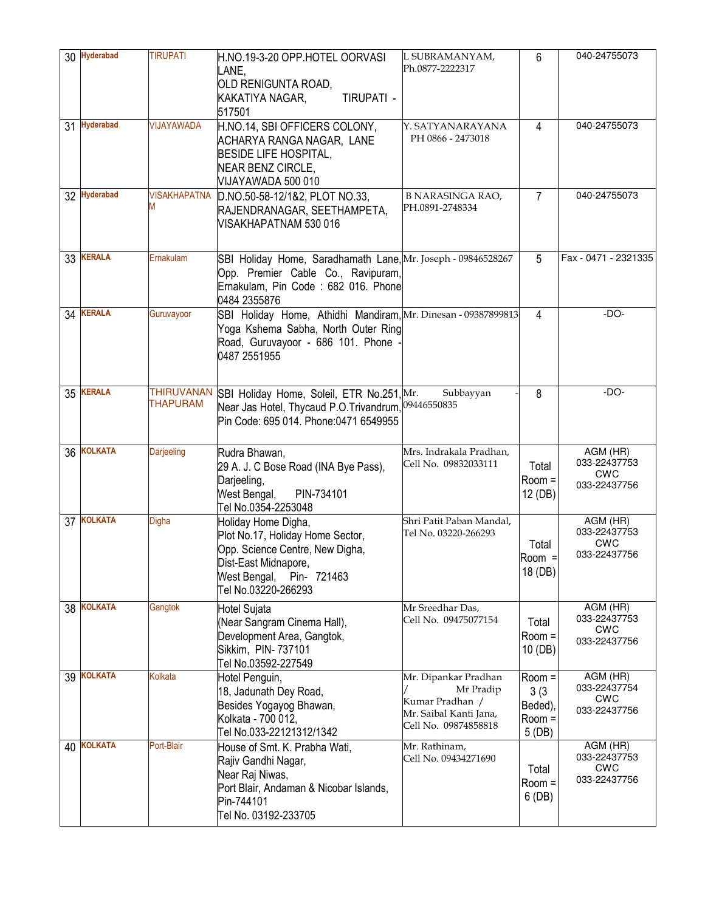| 30 | <b>Hyderabad</b> | <b>TIRUPATI</b>                      | H.NO.19-3-20 OPP.HOTEL OORVASI<br>LANE.<br>OLD RENIGUNTA ROAD,<br>KAKATIYA NAGAR,<br>TIRUPATI -<br>517501                                                                | L SUBRAMANYAM,<br>Ph.0877-2222317                                                                      | 6                                           | 040-24755073                                                            |
|----|------------------|--------------------------------------|--------------------------------------------------------------------------------------------------------------------------------------------------------------------------|--------------------------------------------------------------------------------------------------------|---------------------------------------------|-------------------------------------------------------------------------|
| 31 | <b>Hyderabad</b> | VIJAYAWADA                           | H.NO.14, SBI OFFICERS COLONY,<br>ACHARYA RANGA NAGAR, LANE<br><b>BESIDE LIFE HOSPITAL,</b><br><b>NEAR BENZ CIRCLE,</b><br>VIJAYAWADA 500 010                             | Y. SATYANARAYANA<br>PH 0866 - 2473018                                                                  | 4                                           | 040-24755073                                                            |
|    | 32 Hyderabad     | <b>VISAKHAPATNA</b>                  | D.NO.50-58-12/1&2, PLOT NO.33,<br>RAJENDRANAGAR, SEETHAMPETA,<br>VISAKHAPATNAM 530 016                                                                                   | <b>B NARASINGA RAO,</b><br>PH.0891-2748334                                                             | $\overline{7}$                              | 040-24755073                                                            |
| 33 | <b>KERALA</b>    | Ernakulam                            | SBI Holiday Home, Saradhamath Lane, Mr. Joseph - 09846528267<br>Opp. Premier Cable Co., Ravipuram,<br>Ernakulam, Pin Code: 682 016. Phone<br>0484 2355876                |                                                                                                        | 5                                           | Fax - 0471 - 2321335                                                    |
| 34 | <b>KERALA</b>    | Guruvayoor                           | SBI Holiday Home, Athidhi Mandiram, Mr. Dinesan - 09387899813<br>Yoga Kshema Sabha, North Outer Ring<br>Road, Guruvayoor - 686 101. Phone<br>0487 2551955                |                                                                                                        | 4                                           | $-DO-$                                                                  |
|    | 35 KERALA        | <b>THIRUVANAN</b><br><b>THAPURAM</b> | SBI Holiday Home, Soleil, ETR No.251, Mr.<br>Near Jas Hotel, Thycaud P.O.Trivandrum, 09446550835<br>Pin Code: 695 014. Phone:0471 6549955                                | Subbayyan                                                                                              | 8                                           | $-DO-$                                                                  |
| 36 | <b>KOLKATA</b>   | <b>Darjeeling</b>                    | Rudra Bhawan,<br>29 A. J. C Bose Road (INA Bye Pass),<br>Darjeeling,<br>West Bengal,<br>PIN-734101<br>Tel No.0354-2253048                                                | Mrs. Indrakala Pradhan,<br>Cell No. 09832033111                                                        | Total<br>Room =<br>12 (DB)                  | AGM (HR)<br>033-22437753<br><b>CWC</b><br>033-22437756                  |
|    | 37 KOLKATA       | <b>Digha</b>                         | Holiday Home Digha,<br>Plot No.17, Holiday Home Sector,<br>Opp. Science Centre, New Digha,<br>Dist-East Midnapore,<br>West Bengal,<br>Pin- 721463<br>Tel No.03220-266293 | Shri Patit Paban Mandal,<br>Tel No. 03220-266293                                                       | Total<br>$Room =$<br>18 (DB)                | $\overline{AGM}$ (HR)<br>033-22437753<br>CWC<br>033-22437756            |
| 38 | <b>KOLKATA</b>   | Gangtok                              | <b>Hotel Sujata</b><br>(Near Sangram Cinema Hall),<br>Development Area, Gangtok,<br>Sikkim, PIN-737101<br>Tel No.03592-227549                                            | Mr Sreedhar Das,<br>Cell No. 09475077154                                                               | Total<br>Room =<br>10 (DB)                  | $AGM$ ( $H\overline{R}$ )<br>033-22437753<br><b>CWC</b><br>033-22437756 |
| 39 | <b>KOLKATA</b>   | Kolkata                              | Hotel Penguin,<br>18, Jadunath Dey Road,<br>Besides Yogayog Bhawan,<br>Kolkata - 700 012,<br>Tel No.033-22121312/1342                                                    | Mr. Dipankar Pradhan<br>Mr Pradip<br>Kumar Pradhan /<br>Mr. Saibal Kanti Jana,<br>Cell No. 09874858818 | Room =<br>3(3)<br>Beded)<br>Room =<br>5(DB) | AGM (HR)<br>033-22437754<br><b>CWC</b><br>033-22437756                  |
| 40 | <b>KOLKATA</b>   | Port-Blair                           | House of Smt. K. Prabha Wati,<br>Rajiv Gandhi Nagar,<br>Near Raj Niwas,<br>Port Blair, Andaman & Nicobar Islands,<br>Pin-744101<br>Tel No. 03192-233705                  | Mr. Rathinam,<br>Cell No. 09434271690                                                                  | Total<br>Room =<br>6(DB)                    | AGM (HR)<br>033-22437753<br><b>CWC</b><br>033-22437756                  |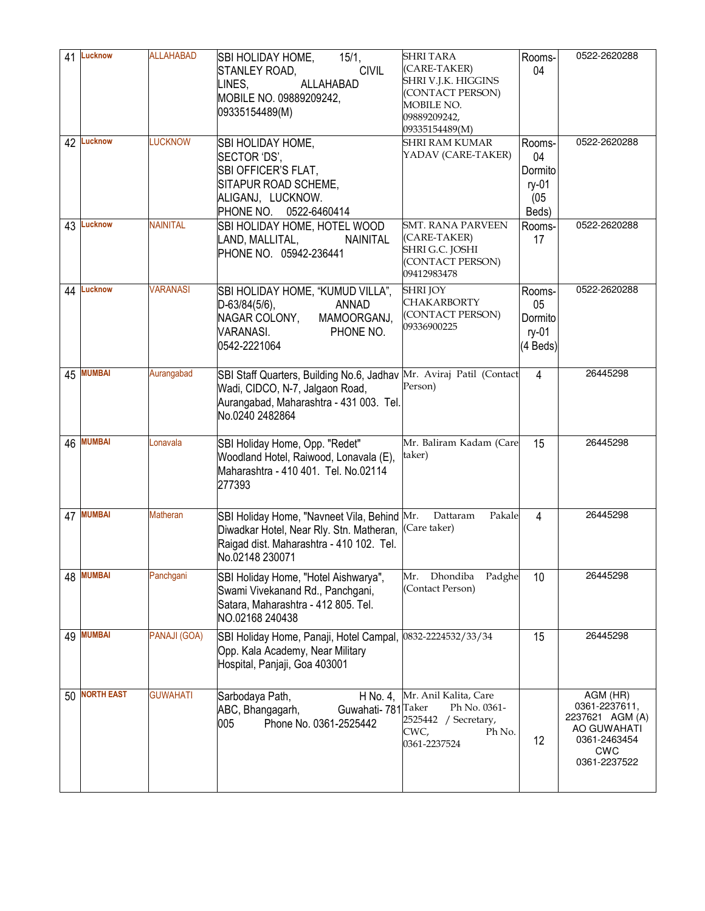| 41  | <b>Lucknow</b>    | <b>ALLAHABAD</b> | SBI HOLIDAY HOME,<br>15/1,<br><b>CIVIL</b><br>STANLEY ROAD,<br>ALLAHABAD<br>LINES.<br>MOBILE NO. 09889209242,<br>09335154489(M)                                      | <b>SHRITARA</b><br>(CARE-TAKER)<br>SHRI V.J.K. HIGGINS<br>(CONTACT PERSON)<br>MOBILE NO.<br>09889209242,<br>09335154489(M) | Rooms-<br>04                                      | 0522-2620288                                                                                              |
|-----|-------------------|------------------|----------------------------------------------------------------------------------------------------------------------------------------------------------------------|----------------------------------------------------------------------------------------------------------------------------|---------------------------------------------------|-----------------------------------------------------------------------------------------------------------|
| 42  | <b>Lucknow</b>    | <b>LUCKNOW</b>   | SBI HOLIDAY HOME,<br>SECTOR 'DS',<br>SBI OFFICER'S FLAT,<br>SITAPUR ROAD SCHEME,<br>ALIGANJ, LUCKNOW.<br>PHONE NO.<br>0522-6460414                                   | <b>SHRI RAM KUMAR</b><br>YADAV (CARE-TAKER)                                                                                | Rooms-<br>04<br>Dormito<br>ry-01<br>(05)<br>Beds) | 0522-2620288                                                                                              |
| 43  | Lucknow           | <b>NAINITAL</b>  | SBI HOLIDAY HOME, HOTEL WOOD<br>LAND, MALLITAL,<br>NAINITAL<br>PHONE NO. 05942-236441                                                                                | <b>SMT. RANA PARVEEN</b><br>(CARE-TAKER)<br>SHRI G.C. JOSHI<br>(CONTACT PERSON)<br>09412983478                             | Rooms-<br>17                                      | 0522-2620288                                                                                              |
| 44  | Lucknow           | <b>VARANASI</b>  | SBI HOLIDAY HOME, "KUMUD VILLA",<br>$D-63/84(5/6)$ ,<br><b>ANNAD</b><br>NAGAR COLONY,<br>MAMOORGANJ,<br><b>VARANASI.</b><br>PHONE NO.<br>0542-2221064                | <b>SHRI JOY</b><br><b>CHAKARBORTY</b><br>(CONTACT PERSON)<br>09336900225                                                   | Rooms-<br>05<br>Dormito<br>ry-01<br>(4 Beds)      | 0522-2620288                                                                                              |
| 45  | <b>MUMBAI</b>     | Aurangabad       | SBI Staff Quarters, Building No.6, Jadhav Mr. Aviraj Patil (Contact<br>Wadi, CIDCO, N-7, Jalgaon Road,<br>Aurangabad, Maharashtra - 431 003. Tel.<br>No.0240 2482864 | Person)                                                                                                                    | 4                                                 | 26445298                                                                                                  |
| 46  | <b>MUMBAI</b>     | Lonavala         | SBI Holiday Home, Opp. "Redet"<br>Woodland Hotel, Raiwood, Lonavala (E),<br>Maharashtra - 410 401. Tel. No.02114<br>277393                                           | Mr. Baliram Kadam (Care<br>taker)                                                                                          | 15                                                | 26445298                                                                                                  |
|     | 47 MUMBAI         | <b>Matheran</b>  | SBI Holiday Home, "Navneet Vila, Behind Mr.<br>Diwadkar Hotel, Near Rly. Stn. Matheran, (Care taker)<br>Raigad dist. Maharashtra - 410 102. Tel.<br>No.02148 230071  | Dattaram<br>Pakale                                                                                                         | $\overline{4}$                                    | 26445298                                                                                                  |
| 48  | <b>MUMBAI</b>     | Panchgani        | SBI Holiday Home, "Hotel Aishwarya",<br>Swami Vivekanand Rd., Panchgani,<br>Satara, Maharashtra - 412 805. Tel.<br>NO.02168 240438                                   | Dhondiba<br>Padghe<br>Mr.<br>(Contact Person)                                                                              | 10                                                | 26445298                                                                                                  |
| 49  | <b>MUMBAI</b>     | PANAJI (GOA)     | SBI Holiday Home, Panaji, Hotel Campal, 0832-2224532/33/34<br>Opp. Kala Academy, Near Military<br>Hospital, Panjaji, Goa 403001                                      |                                                                                                                            | 15                                                | 26445298                                                                                                  |
| 50. | <b>NORTH EAST</b> | <b>GUWAHATI</b>  | Sarbodaya Path,<br>H No. 4,<br>Guwahati- 781 Taker<br>ABC, Bhangagarh,<br>Phone No. 0361-2525442<br>005                                                              | Mr. Anil Kalita, Care<br>Ph No. 0361-<br>2525442 / Secretary,<br>Ph No.<br>CWC,<br>0361-2237524                            | 12                                                | AGM (HR)<br>0361-2237611,<br>2237621 AGM (A)<br>AO GUWAHATI<br>0361-2463454<br><b>CWC</b><br>0361-2237522 |